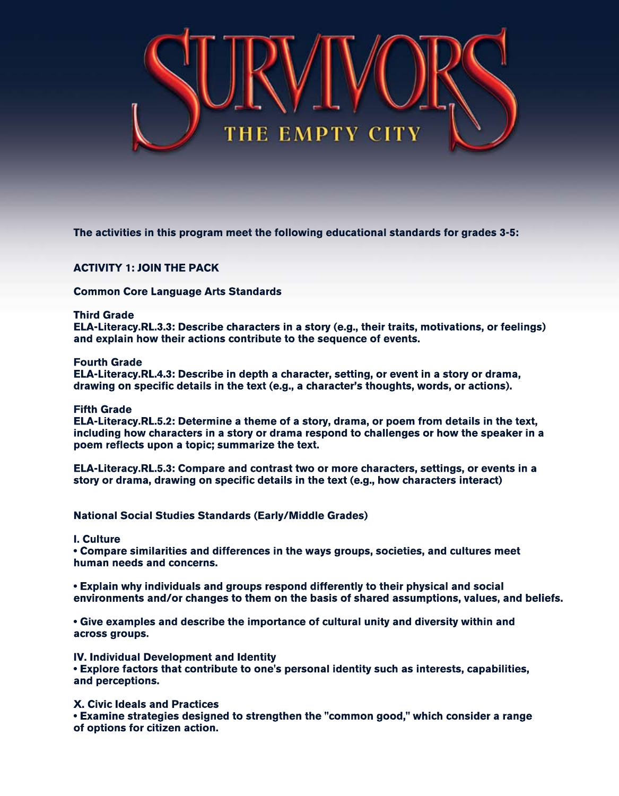

**The activities in this program meet the following educational standards for grades 3-5:** 

# **ACTIVITY 1: JOIN THE PACK**

**Common Core Language Arts Standards** 

## **Third Grade**

**ELA-Literacy.RL.3.3:Describecharactersinastory(e.g.,theirtraits,motivations,orfeelings)** and explain how their actions contribute to the sequence of events.

### **Fourth Grade**

**ELA-Literacy.RL.4.3:Describeindepthacharacter,setting,oreventinastoryordrama, drawingonspecificdetailsinthetext(e.g.,acharacter'sthoughts,words,oractions).**

### **Fifth Grade**

**ELA-Literacy.RL.5.2:Determineathemeofastory,drama,orpoem from detailsinthetext,** including how characters in a story or drama respond to challenges or how the speaker in a poem reflects upon a topic; summarize the text.

**ELA-Literacy.RL.5.3: Compare and contrast two or more characters, settings, or events in a** story or drama, drawing on specific details in the text (e.g., how characters interact)

**NationalSocialStudiesStandards(Early/MiddleGrades)**

**I.Culture**

**• Compare similarities and differences in the ways groups, societies, and cultures meet** human needs and concerns.

**• Explain why individuals and groups respond differently to their physical and social environmentsand/orchangestothem onthebasisofsharedassumptions,values,andbeliefs.**

**• Give examples and describe the importance of cultural unity and diversity within and** across groups.

**IV. Individual Development and Identity** 

• Explore factors that contribute to one's personal identity such as interests, capabilities, and perceptions.

**X.CivicIdealsandPractices**

**• Examine strategies designed to strengthen the "common good," which consider a range of options for citizen action.**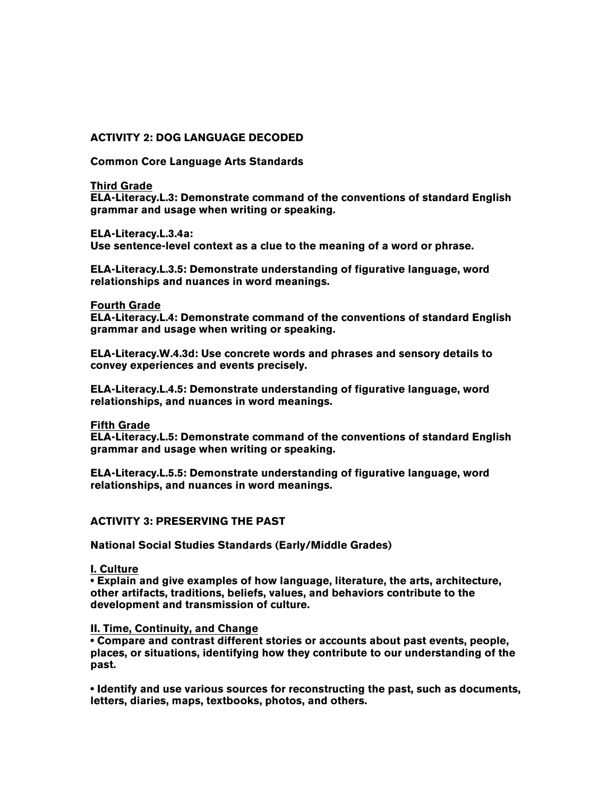## **ACTIVITY 2: DOG LANGUAGE DECODED**

**Common Core Language Arts Standards**

#### **Third Grade**

**ELA-Literacy.L.3: Demonstrate command of the conventions of standard English grammar and usage when writing or speaking.**

#### **ELA-Literacy.L.3.4a:**

**Use sentence-level context as a clue to the meaning of a word or phrase.**

**ELA-Literacy.L.3.5: Demonstrate understanding of figurative language, word relationships and nuances in word meanings.**

#### **Fourth Grade**

**ELA-Literacy.L.4: Demonstrate command of the conventions of standard English grammar and usage when writing or speaking.**

**ELA-Literacy.W.4.3d: Use concrete words and phrases and sensory details to convey experiences and events precisely.**

**ELA-Literacy.L.4.5: Demonstrate understanding of figurative language, word relationships, and nuances in word meanings.**

#### **Fifth Grade**

**ELA-Literacy.L.5: Demonstrate command of the conventions of standard English grammar and usage when writing or speaking.**

**ELA-Literacy.L.5.5: Demonstrate understanding of figurative language, word relationships, and nuances in word meanings.**

## **ACTIVITY 3: PRESERVING THE PAST**

**National Social Studies Standards (Early/Middle Grades)**

#### **I. Culture**

**• Explain and give examples of how language, literature, the arts, architecture, other artifacts, traditions, beliefs, values, and behaviors contribute to the development and transmission of culture.**

#### **II. Time, Continuity, and Change**

**• Compare and contrast different stories or accounts about past events, people, places, or situations, identifying how they contribute to our understanding of the past.** 

**• Identify and use various sources for reconstructing the past, such as documents, letters, diaries, maps, textbooks, photos, and others.**